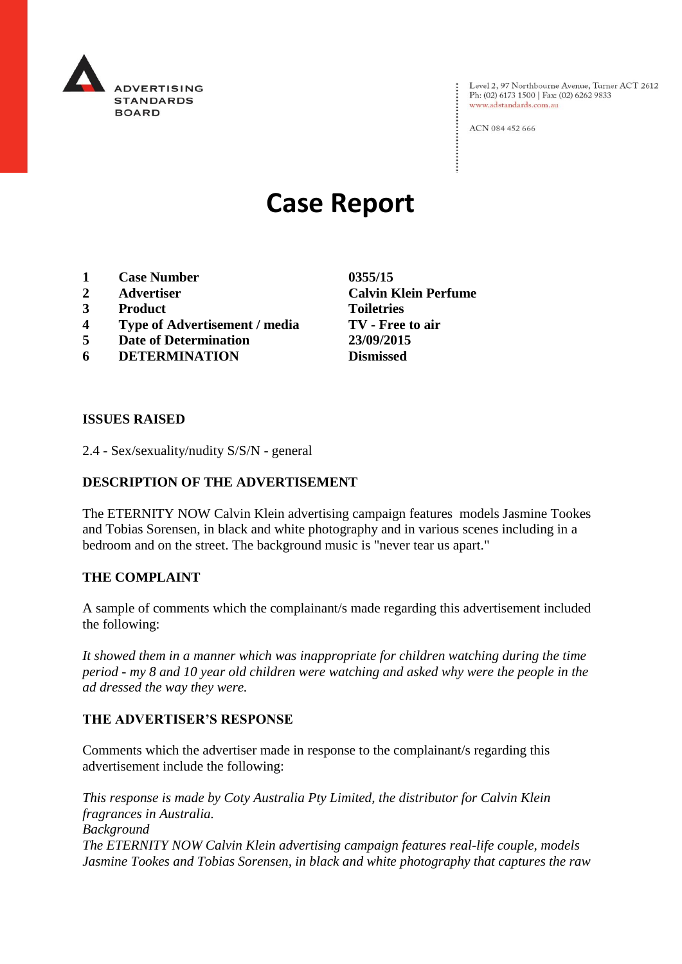

Level 2, 97 Northbourne Avenue, Turner ACT 2612<br>Ph: (02) 6173 1500 | Fax: (02) 6262 9833 www.adstandards.com.au

ACN 084 452 666

# **Case Report**

- **1 Case Number 0355/15**
- 
- **3 Product Toiletries**
- **4 Type of Advertisement / media TV - Free to air**
- **5 Date of Determination 23/09/2015**
- **6 DETERMINATION Dismissed**

**2 Advertiser Calvin Klein Perfume**

#### **ISSUES RAISED**

2.4 - Sex/sexuality/nudity S/S/N - general

### **DESCRIPTION OF THE ADVERTISEMENT**

The ETERNITY NOW Calvin Klein advertising campaign features models Jasmine Tookes and Tobias Sorensen, in black and white photography and in various scenes including in a bedroom and on the street. The background music is "never tear us apart."

#### **THE COMPLAINT**

A sample of comments which the complainant/s made regarding this advertisement included the following:

*It showed them in a manner which was inappropriate for children watching during the time period - my 8 and 10 year old children were watching and asked why were the people in the ad dressed the way they were.*

#### **THE ADVERTISER'S RESPONSE**

Comments which the advertiser made in response to the complainant/s regarding this advertisement include the following:

*This response is made by Coty Australia Pty Limited, the distributor for Calvin Klein fragrances in Australia. Background The ETERNITY NOW Calvin Klein advertising campaign features real-life couple, models Jasmine Tookes and Tobias Sorensen, in black and white photography that captures the raw*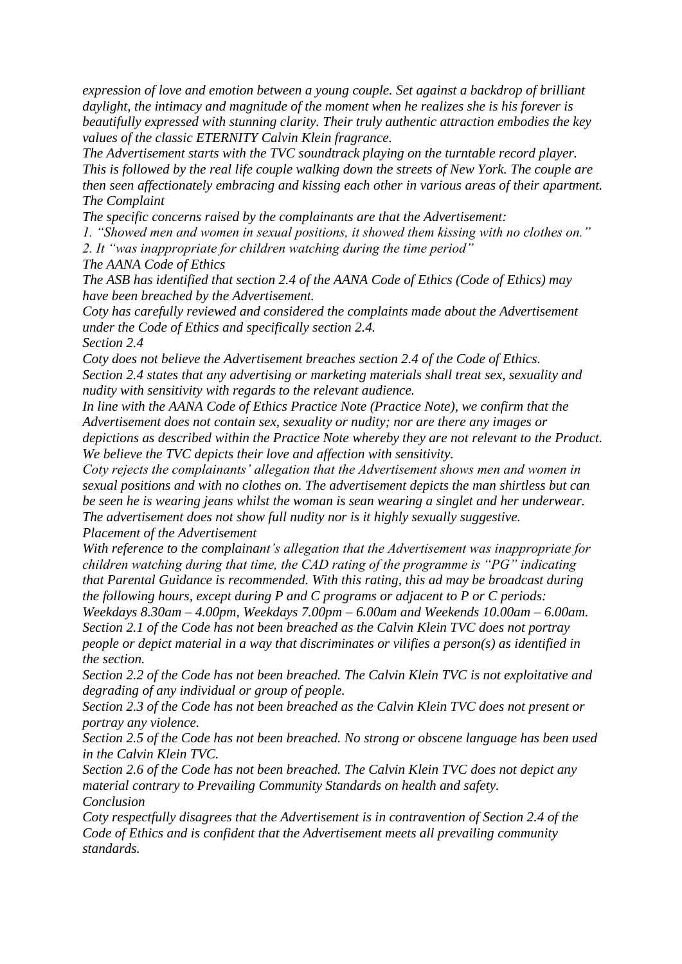*expression of love and emotion between a young couple. Set against a backdrop of brilliant daylight, the intimacy and magnitude of the moment when he realizes she is his forever is beautifully expressed with stunning clarity. Their truly authentic attraction embodies the key values of the classic ETERNITY Calvin Klein fragrance.*

*The Advertisement starts with the TVC soundtrack playing on the turntable record player. This is followed by the real life couple walking down the streets of New York. The couple are then seen affectionately embracing and kissing each other in various areas of their apartment. The Complaint*

*The specific concerns raised by the complainants are that the Advertisement:*

*1. "Showed men and women in sexual positions, it showed them kissing with no clothes on."*

*2. It "was inappropriate for children watching during the time period"*

*The AANA Code of Ethics*

*The ASB has identified that section 2.4 of the AANA Code of Ethics (Code of Ethics) may have been breached by the Advertisement.*

*Coty has carefully reviewed and considered the complaints made about the Advertisement under the Code of Ethics and specifically section 2.4.*

*Section 2.4*

*Coty does not believe the Advertisement breaches section 2.4 of the Code of Ethics. Section 2.4 states that any advertising or marketing materials shall treat sex, sexuality and nudity with sensitivity with regards to the relevant audience.*

*In line with the AANA Code of Ethics Practice Note (Practice Note), we confirm that the Advertisement does not contain sex, sexuality or nudity; nor are there any images or depictions as described within the Practice Note whereby they are not relevant to the Product. We believe the TVC depicts their love and affection with sensitivity.*

*Coty rejects the complainants' allegation that the Advertisement shows men and women in sexual positions and with no clothes on. The advertisement depicts the man shirtless but can be seen he is wearing jeans whilst the woman is sean wearing a singlet and her underwear. The advertisement does not show full nudity nor is it highly sexually suggestive. Placement of the Advertisement*

*With reference to the complainant's allegation that the Advertisement was inappropriate for children watching during that time, the CAD rating of the programme is "PG" indicating that Parental Guidance is recommended. With this rating, this ad may be broadcast during the following hours, except during P and C programs or adjacent to P or C periods:* 

*Weekdays 8.30am – 4.00pm, Weekdays 7.00pm – 6.00am and Weekends 10.00am – 6.00am. Section 2.1 of the Code has not been breached as the Calvin Klein TVC does not portray people or depict material in a way that discriminates or vilifies a person(s) as identified in the section.*

*Section 2.2 of the Code has not been breached. The Calvin Klein TVC is not exploitative and degrading of any individual or group of people.*

*Section 2.3 of the Code has not been breached as the Calvin Klein TVC does not present or portray any violence.*

*Section 2.5 of the Code has not been breached. No strong or obscene language has been used in the Calvin Klein TVC.*

*Section 2.6 of the Code has not been breached. The Calvin Klein TVC does not depict any material contrary to Prevailing Community Standards on health and safety. Conclusion*

*Coty respectfully disagrees that the Advertisement is in contravention of Section 2.4 of the Code of Ethics and is confident that the Advertisement meets all prevailing community standards.*